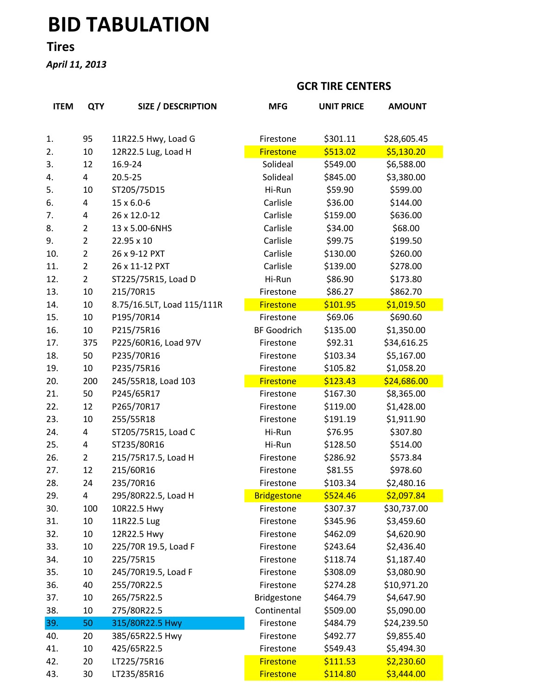# BID TABULATION

## Tires

April 11, 2013

#### GCR TIRE CENTERS

| <b>ITEM</b> | <b>QTY</b>     | <b>SIZE / DESCRIPTION</b>  | <b>MFG</b>         | <b>UNIT PRICE</b> | <b>AMOUNT</b> |
|-------------|----------------|----------------------------|--------------------|-------------------|---------------|
|             |                |                            |                    |                   |               |
| 1.          | 95             | 11R22.5 Hwy, Load G        | Firestone          | \$301.11          | \$28,605.45   |
| 2.          | 10             | 12R22.5 Lug, Load H        | <b>Firestone</b>   | \$513.02          | \$5,130.20    |
| 3.          | 12             | 16.9-24                    | Solideal           | \$549.00          | \$6,588.00    |
| 4.          | 4              | 20.5-25                    | Solideal           | \$845.00          | \$3,380.00    |
| 5.          | 10             | ST205/75D15                | Hi-Run             | \$59.90           | \$599.00      |
| 6.          | 4              | 15 x 6.0-6                 | Carlisle           | \$36.00           | \$144.00      |
| 7.          | 4              | 26 x 12.0-12               | Carlisle           | \$159.00          | \$636.00      |
| 8.          | $\overline{2}$ | 13 x 5.00-6NHS             | Carlisle           | \$34.00           | \$68.00       |
| 9.          | $\overline{2}$ | 22.95 x 10                 | Carlisle           | \$99.75           | \$199.50      |
| 10.         | $\overline{2}$ | 26 x 9-12 PXT              | Carlisle           | \$130.00          | \$260.00      |
| 11.         | $\overline{2}$ | 26 x 11-12 PXT             | Carlisle           | \$139.00          | \$278.00      |
| 12.         | $\overline{2}$ | ST225/75R15, Load D        | Hi-Run             | \$86.90           | \$173.80      |
| 13.         | 10             | 215/70R15                  | Firestone          | \$86.27           | \$862.70      |
| 14.         | 10             | 8.75/16.5LT, Load 115/111R | <b>Firestone</b>   | \$101.95          | \$1,019.50    |
| 15.         | 10             | P195/70R14                 | Firestone          | \$69.06           | \$690.60      |
| 16.         | 10             | P215/75R16                 | <b>BF Goodrich</b> | \$135.00          | \$1,350.00    |
| 17.         | 375            | P225/60R16, Load 97V       | Firestone          | \$92.31           | \$34,616.25   |
| 18.         | 50             | P235/70R16                 | Firestone          | \$103.34          | \$5,167.00    |
| 19.         | 10             | P235/75R16                 | Firestone          | \$105.82          | \$1,058.20    |
| 20.         | 200            | 245/55R18, Load 103        | <b>Firestone</b>   | \$123.43          | \$24,686.00   |
| 21.         | 50             | P245/65R17                 | Firestone          | \$167.30          | \$8,365.00    |
| 22.         | 12             | P265/70R17                 | Firestone          | \$119.00          | \$1,428.00    |
| 23.         | 10             | 255/55R18                  | Firestone          | \$191.19          | \$1,911.90    |
| 24.         | 4              | ST205/75R15, Load C        | Hi-Run             | \$76.95           | \$307.80      |
| 25.         | 4              | ST235/80R16                | Hi-Run             | \$128.50          | \$514.00      |
| 26.         | $\overline{2}$ | 215/75R17.5, Load H        | Firestone          | \$286.92          | \$573.84      |
| 27.         | 12             | 215/60R16                  | Firestone          | \$81.55           | \$978.60      |
| 28.         | 24             | 235/70R16                  | Firestone          | \$103.34          | \$2,480.16    |
| 29.         | 4              | 295/80R22.5, Load H        | <b>Bridgestone</b> | \$524.46          | \$2,097.84    |
| 30.         | 100            | 10R22.5 Hwy                | Firestone          | \$307.37          | \$30,737.00   |
| 31.         | 10             | 11R22.5 Lug                | Firestone          | \$345.96          | \$3,459.60    |
| 32.         | 10             | 12R22.5 Hwy                | Firestone          | \$462.09          | \$4,620.90    |
| 33.         | 10             | 225/70R 19.5, Load F       | Firestone          | \$243.64          | \$2,436.40    |
| 34.         | 10             | 225/75R15                  | Firestone          | \$118.74          | \$1,187.40    |
| 35.         | 10             | 245/70R19.5, Load F        | Firestone          | \$308.09          | \$3,080.90    |
| 36.         | 40             | 255/70R22.5                | Firestone          | \$274.28          | \$10,971.20   |
| 37.         | 10             | 265/75R22.5                | Bridgestone        | \$464.79          | \$4,647.90    |
| 38.         | 10             | 275/80R22.5                | Continental        | \$509.00          | \$5,090.00    |
| 39.         | 50             | 315/80R22.5 Hwy            | Firestone          | \$484.79          | \$24,239.50   |
| 40.         | 20             | 385/65R22.5 Hwy            | Firestone          | \$492.77          | \$9,855.40    |
| 41.         | 10             | 425/65R22.5                | Firestone          | \$549.43          | \$5,494.30    |
| 42.         | 20             | LT225/75R16                | <b>Firestone</b>   | \$111.53          | \$2,230.60    |
| 43.         | 30             | LT235/85R16                | <b>Firestone</b>   | \$114.80          | \$3,444.00    |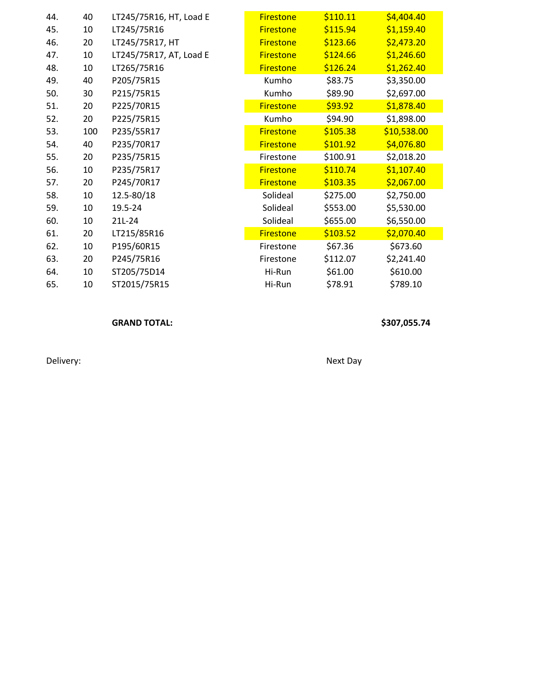| 44. | 40  | LT245/75R16, HT, Load E | <b>Firestone</b> | \$110.11 | \$4,404.40  |
|-----|-----|-------------------------|------------------|----------|-------------|
| 45. | 10  | LT245/75R16             | <b>Firestone</b> | \$115.94 | \$1,159.40  |
| 46. | 20  | LT245/75R17, HT         | <b>Firestone</b> | \$123.66 | \$2,473.20  |
| 47. | 10  | LT245/75R17, AT, Load E | <b>Firestone</b> | \$124.66 | \$1,246.60  |
| 48. | 10  | LT265/75R16             | <b>Firestone</b> | \$126.24 | \$1,262.40  |
| 49. | 40  | P205/75R15              | Kumho            | \$83.75  | \$3,350.00  |
| 50. | 30  | P215/75R15              | Kumho            | \$89.90  | \$2,697.00  |
| 51. | 20  | P225/70R15              | <b>Firestone</b> | \$93.92  | \$1,878.40  |
| 52. | 20  | P225/75R15              | Kumho            | \$94.90  | \$1,898.00  |
| 53. | 100 | P235/55R17              | <b>Firestone</b> | \$105.38 | \$10,538.00 |
| 54. | 40  | P235/70R17              | <b>Firestone</b> | \$101.92 | \$4,076.80  |
| 55. | 20  | P235/75R15              | Firestone        | \$100.91 | \$2,018.20  |
| 56. | 10  | P235/75R17              | <b>Firestone</b> | \$110.74 | \$1,107.40  |
| 57. | 20  | P245/70R17              | <b>Firestone</b> | \$103.35 | \$2,067.00  |
| 58. | 10  | 12.5-80/18              | Solideal         | \$275.00 | \$2,750.00  |
| 59. | 10  | 19.5-24                 | Solideal         | \$553.00 | \$5,530.00  |
| 60. | 10  | 21L-24                  | Solideal         | \$655.00 | \$6,550.00  |
| 61. | 20  | LT215/85R16             | <b>Firestone</b> | \$103.52 | \$2,070.40  |
| 62. | 10  | P195/60R15              | Firestone        | \$67.36  | \$673.60    |
| 63. | 20  | P245/75R16              | Firestone        | \$112.07 | \$2,241.40  |
| 64. | 10  | ST205/75D14             | Hi-Run           | \$61.00  | \$610.00    |
| 65. | 10  | ST2015/75R15            | Hi-Run           | \$78.91  | \$789.10    |

#### GRAND TOTAL: \$307,055.74

Delivery: Next Day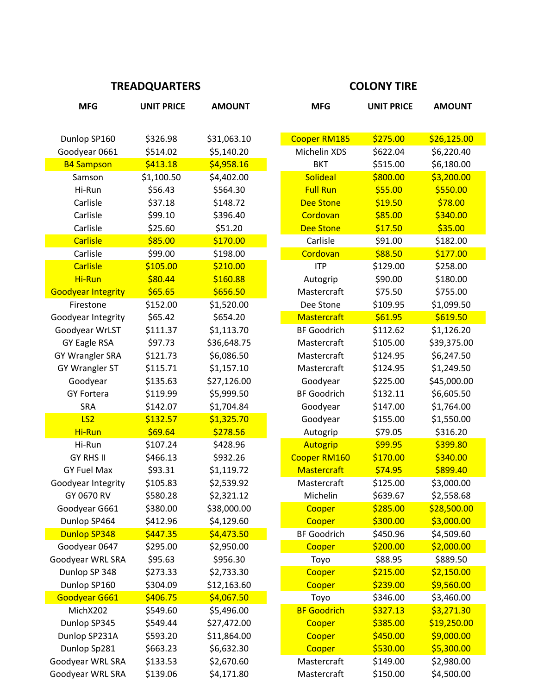### TREADQUARTERS COLONY TIRE

| <b>MFG</b>                | <b>UNIT PRICE</b> | <b>AMOUNT</b> | <b>MFG</b>          | <b>UNIT PRICE</b> | <b>AMOUNT</b> |
|---------------------------|-------------------|---------------|---------------------|-------------------|---------------|
|                           |                   |               |                     |                   |               |
| Dunlop SP160              | \$326.98          | \$31,063.10   | <b>Cooper RM185</b> | \$275.00          | \$26,125.00   |
| Goodyear 0661             | \$514.02          | \$5,140.20    | Michelin XDS        | \$622.04          | \$6,220.40    |
| <b>B4 Sampson</b>         | \$413.18          | \$4,958.16    | <b>BKT</b>          | \$515.00          | \$6,180.00    |
| Samson                    | \$1,100.50        | \$4,402.00    | <b>Solideal</b>     | \$800.00          | \$3,200.00    |
| Hi-Run                    | \$56.43           | \$564.30      | <b>Full Run</b>     | \$55.00           | \$550.00      |
| Carlisle                  | \$37.18           | \$148.72      | <b>Dee Stone</b>    | \$19.50           | \$78.00       |
| Carlisle                  | \$99.10           | \$396.40      | Cordovan            | \$85.00           | \$340.00      |
| Carlisle                  | \$25.60           | \$51.20       | <b>Dee Stone</b>    | \$17.50           | \$35.00       |
| <b>Carlisle</b>           | \$85.00           | \$170.00      | Carlisle            | \$91.00           | \$182.00      |
| Carlisle                  | \$99.00           | \$198.00      | Cordovan            | \$88.50           | \$177.00      |
| <b>Carlisle</b>           | \$105.00          | \$210.00      | <b>ITP</b>          | \$129.00          | \$258.00      |
| Hi-Run                    | \$80.44           | \$160.88      | Autogrip            | \$90.00           | \$180.00      |
| <b>Goodyear Integrity</b> | \$65.65           | \$656.50      | Mastercraft         | \$75.50           | \$755.00      |
| Firestone                 | \$152.00          | \$1,520.00    | Dee Stone           | \$109.95          | \$1,099.50    |
| Goodyear Integrity        | \$65.42           | \$654.20      | <b>Mastercraft</b>  | \$61.95           | \$619.50      |
| Goodyear WrLST            | \$111.37          | \$1,113.70    | <b>BF Goodrich</b>  | \$112.62          | \$1,126.20    |
| <b>GY Eagle RSA</b>       | \$97.73           | \$36,648.75   | Mastercraft         | \$105.00          | \$39,375.00   |
| <b>GY Wrangler SRA</b>    | \$121.73          | \$6,086.50    | Mastercraft         | \$124.95          | \$6,247.50    |
| GY Wrangler ST            | \$115.71          | \$1,157.10    | Mastercraft         | \$124.95          | \$1,249.50    |
| Goodyear                  | \$135.63          | \$27,126.00   | Goodyear            | \$225.00          | \$45,000.00   |
| <b>GY Fortera</b>         | \$119.99          | \$5,999.50    | <b>BF Goodrich</b>  | \$132.11          | \$6,605.50    |
| SRA                       | \$142.07          | \$1,704.84    | Goodyear            | \$147.00          | \$1,764.00    |
| LS <sub>2</sub>           | \$132.57          | \$1,325.70    | Goodyear            | \$155.00          | \$1,550.00    |
| Hi-Run                    | \$69.64           | \$278.56      | Autogrip            | \$79.05           | \$316.20      |
| Hi-Run                    | \$107.24          | \$428.96      | Autogrip            | \$99.95           | \$399.80      |
| <b>GY RHS II</b>          | \$466.13          | \$932.26      | Cooper RM160        | \$170.00          | \$340.00      |
| <b>GY Fuel Max</b>        | \$93.31           | \$1,119.72    | <b>Mastercraft</b>  | \$74.95           | \$899.40      |
| Goodyear Integrity        | \$105.83          | \$2,539.92    | Mastercraft         | \$125.00          | \$3,000.00    |
| GY 0670 RV                | \$580.28          | \$2,321.12    | Michelin            | \$639.67          | \$2,558.68    |
| Goodyear G661             | \$380.00          | \$38,000.00   | Cooper              | \$285.00          | \$28,500.00   |
| Dunlop SP464              | \$412.96          | \$4,129.60    | Cooper              | \$300.00          | \$3,000.00    |
| <b>Dunlop SP348</b>       | \$447.35          | \$4,473.50    | <b>BF Goodrich</b>  | \$450.96          | \$4,509.60    |
| Goodyear 0647             | \$295.00          | \$2,950.00    | Cooper              | \$200.00          | \$2,000.00    |
| Goodyear WRL SRA          | \$95.63           | \$956.30      | Toyo                | \$88.95           | \$889.50      |
| Dunlop SP 348             | \$273.33          | \$2,733.30    | Cooper              | \$215.00          | \$2,150.00    |
| Dunlop SP160              | \$304.09          | \$12,163.60   | Cooper              | \$239.00          | \$9,560.00    |
| Goodyear G661             | \$406.75          | \$4,067.50    | Toyo                | \$346.00          | \$3,460.00    |
| MichX202                  | \$549.60          | \$5,496.00    | <b>BF Goodrich</b>  | \$327.13          | \$3,271.30    |
| Dunlop SP345              | \$549.44          | \$27,472.00   | Cooper              | \$385.00          | \$19,250.00   |
| Dunlop SP231A             | \$593.20          | \$11,864.00   | Cooper              | \$450.00          | \$9,000.00    |
| Dunlop Sp281              | \$663.23          | \$6,632.30    | Cooper              | \$530.00          | \$5,300.00    |
| Goodyear WRL SRA          | \$133.53          | \$2,670.60    | Mastercraft         | \$149.00          | \$2,980.00    |
| Goodyear WRL SRA          | \$139.06          | \$4,171.80    | Mastercraft         | \$150.00          | \$4,500.00    |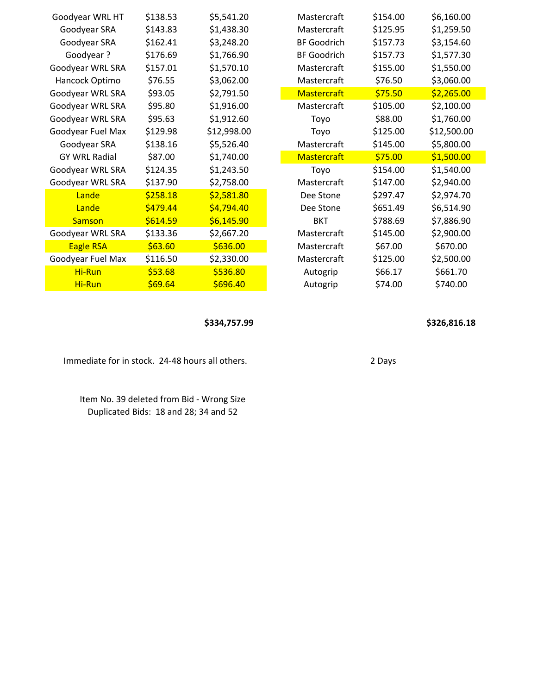| Goodyear WRL HT      | \$138.53 | \$5,541.20  | Mastercraft        | \$154.00 | \$6,160.00  |
|----------------------|----------|-------------|--------------------|----------|-------------|
| Goodyear SRA         | \$143.83 | \$1,438.30  | Mastercraft        | \$125.95 | \$1,259.50  |
| Goodyear SRA         | \$162.41 | \$3,248.20  | <b>BF Goodrich</b> | \$157.73 | \$3,154.60  |
| Goodyear?            | \$176.69 | \$1,766.90  | <b>BF Goodrich</b> | \$157.73 | \$1,577.30  |
| Goodyear WRL SRA     | \$157.01 | \$1,570.10  | Mastercraft        | \$155.00 | \$1,550.00  |
| Hancock Optimo       | \$76.55  | \$3,062.00  | Mastercraft        | \$76.50  | \$3,060.00  |
| Goodyear WRL SRA     | \$93.05  | \$2,791.50  | <b>Mastercraft</b> | \$75.50  | \$2,265.00  |
| Goodyear WRL SRA     | \$95.80  | \$1,916.00  | Mastercraft        | \$105.00 | \$2,100.00  |
| Goodyear WRL SRA     | \$95.63  | \$1,912.60  | Toyo               | \$88.00  | \$1,760.00  |
| Goodyear Fuel Max    | \$129.98 | \$12,998.00 | Toyo               | \$125.00 | \$12,500.00 |
| Goodyear SRA         | \$138.16 | \$5,526.40  | Mastercraft        | \$145.00 | \$5,800.00  |
| <b>GY WRL Radial</b> | \$87.00  | \$1,740.00  | <b>Mastercraft</b> | \$75.00  | \$1,500.00  |
| Goodyear WRL SRA     | \$124.35 | \$1,243.50  | Toyo               | \$154.00 | \$1,540.00  |
| Goodyear WRL SRA     | \$137.90 | \$2,758.00  | Mastercraft        | \$147.00 | \$2,940.00  |
| Lande                | \$258.18 | \$2,581.80  | Dee Stone          | \$297.47 | \$2,974.70  |
| Lande                | \$479.44 | \$4,794.40  | Dee Stone          | \$651.49 | \$6,514.90  |
| <b>Samson</b>        | \$614.59 | \$6,145.90  | <b>BKT</b>         | \$788.69 | \$7,886.90  |
| Goodyear WRL SRA     | \$133.36 | \$2,667.20  | Mastercraft        | \$145.00 | \$2,900.00  |
| <b>Eagle RSA</b>     | \$63.60  | \$636.00    | Mastercraft        | \$67.00  | \$670.00    |
| Goodyear Fuel Max    | \$116.50 | \$2,330.00  | Mastercraft        | \$125.00 | \$2,500.00  |
| Hi-Run               | \$53.68  | \$536.80    | Autogrip           | \$66.17  | \$661.70    |
| Hi-Run               | \$69.64  | \$696.40    | Autogrip           | \$74.00  | \$740.00    |

\$334,757.99 \$326,816.18

Immediate for in stock. 24-48 hours all others. 2 Days

Item No. 39 deleted from Bid - Wrong Size Duplicated Bids: 18 and 28; 34 and 52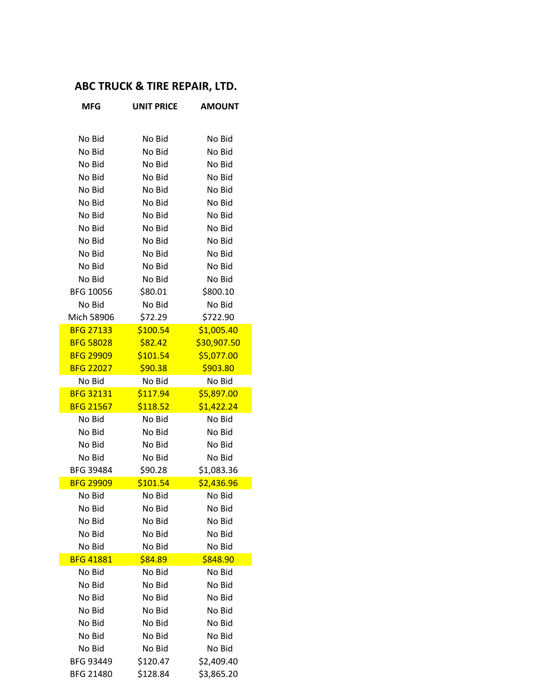# ABC TRUCK & TIRE REPAIR, LTD.

| <b>MFG</b>       | <b>UNIT PRICE</b> | <b>AMOUNT</b> |
|------------------|-------------------|---------------|
|                  |                   |               |
| No Bid           | No Bid            | No Bid        |
| No Bid           | No Bid            | No Bid        |
| No Bid           | No Bid            | No Bid        |
| No Bid           | No Bid            | No Bid        |
| No Bid           | No Bid            | No Bid        |
| No Bid           | No Bid            | No Bid        |
| No Bid           | No Bid            | No Bid        |
| No Bid           | No Bid            | No Bid        |
| No Bid           | No Bid            | No Bid        |
| No Bid           | No Bid            | No Bid        |
| No Bid           | No Bid            | No Bid        |
| No Bid           | No Bid            | No Bid        |
| BFG 10056        | \$80.01           | \$800.10      |
| No Bid           | No Bid            | No Bid        |
| Mich 58906       | \$72.29           | \$722.90      |
| <b>BFG 27133</b> | \$100.54          | \$1,005.40    |
| <b>BFG 58028</b> | \$82.42           | \$30,907.50   |
| <b>BFG 29909</b> | \$101.54          | \$5,077.00    |
| <b>BFG 22027</b> | \$90.38           | \$903.80      |
| No Bid           | No Bid            | No Bid        |
| <b>BFG 32131</b> | \$117.94          | \$5,897.00    |
| <b>BFG 21567</b> | \$118.52          | \$1,422.24    |
| No Bid           | No Bid            | No Bid        |
| No Bid           | No Bid            | No Bid        |
| No Bid           | No Bid            | No Bid        |
| No Bid           | No Bid            | No Bid        |
| BFG 39484        | \$90.28           | \$1,083.36    |
| <b>BFG 29909</b> | \$101.54          | \$2,436.96    |
| No Bid           | No Bid            | No Bid        |
| No Bid           | No Bid            | No Bid        |
| No Bid           | No Bid            | No Bid        |
| No Bid           | No Bid            | No Bid        |
| No Bid           | No Bid            | No Bid        |
| <b>BFG 41881</b> | \$84.89           | \$848.90      |
| No Bid           | No Bid            | No Bid        |
| No Bid           | No Bid            | No Bid        |
| No Bid           | No Bid            | No Bid        |
| No Bid           | No Bid            | No Bid        |
| No Bid           | No Bid            | No Bid        |
| No Bid           | No Bid            | No Bid        |
| No Bid           | No Bid            | No Bid        |
| BFG 93449        | \$120.47          | \$2,409.40    |
| BFG 21480        | \$128.84          | \$3,865.20    |